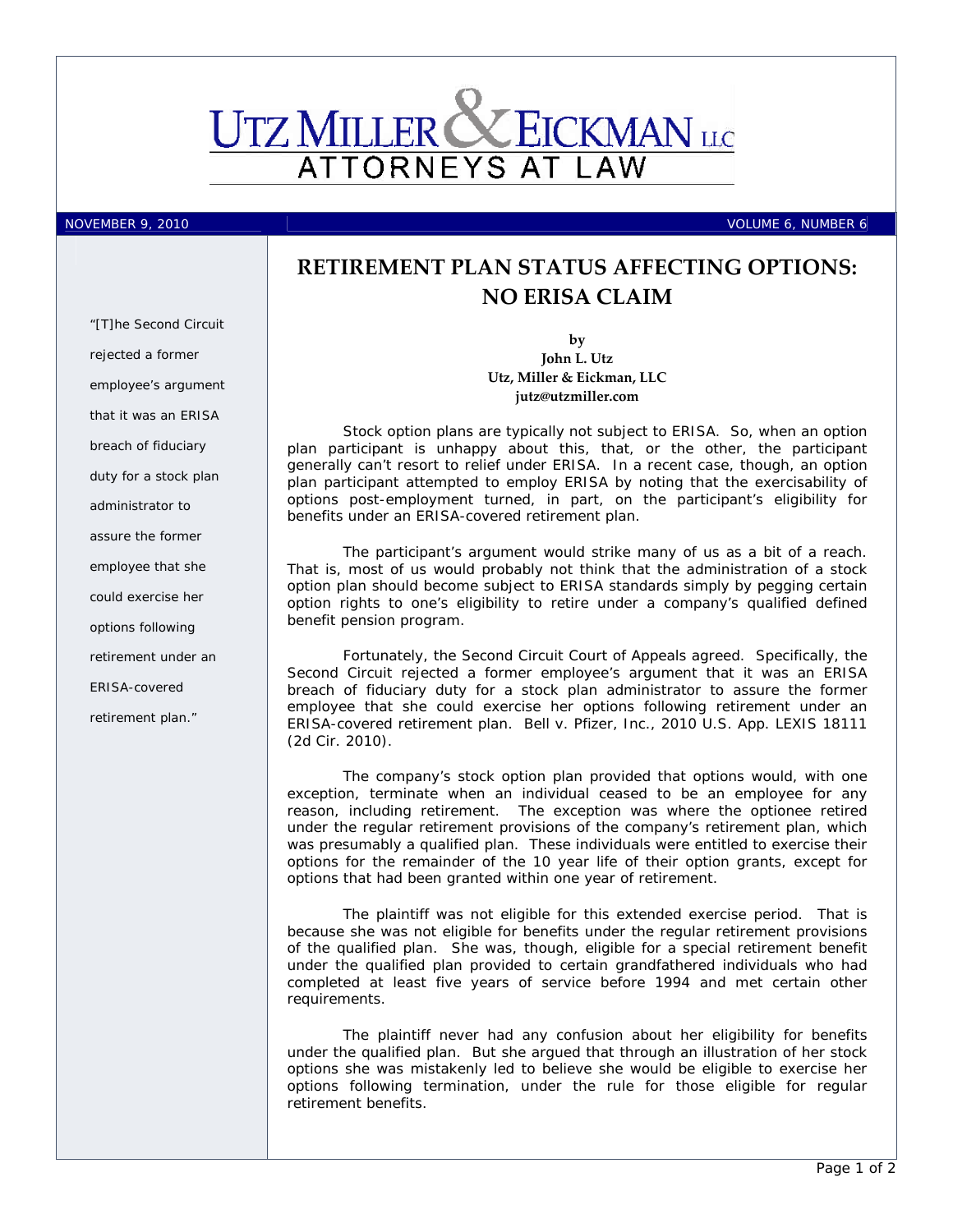

*"[T]he Second Circuit* 

*employee's argument that it was an ERISA* 

*breach of fiduciary duty for a stock plan* 

*administrator to assure the former* 

*employee that she could exercise her options following retirement under an* 

*ERISA-covered* 

*retirement plan."* 

*rejected a former* 

NOVEMBER 9, 2010 VOLUME 6, NUMBER 6

## **RETIREMENT PLAN STATUS AFFECTING OPTIONS: NO ERISA CLAIM**

**by John L. Utz Utz, Miller & Eickman, LLC jutz@utzmiller.com**

Stock option plans are typically not subject to ERISA. So, when an option plan participant is unhappy about this, that, or the other, the participant generally can't resort to relief under ERISA. In a recent case, though, an option plan participant attempted to employ ERISA by noting that the exercisability of options post-employment turned, in part, on the participant's eligibility for benefits under an ERISA-covered retirement plan.

The participant's argument would strike many of us as a bit of a reach. That is, most of us would probably not think that the administration of a stock option plan should become subject to ERISA standards simply by pegging certain option rights to one's eligibility to retire under a company's qualified defined benefit pension program.

Fortunately, the Second Circuit Court of Appeals agreed. Specifically, the Second Circuit rejected a former employee's argument that it was an ERISA breach of fiduciary duty for a stock plan administrator to assure the former employee that she could exercise her options following retirement under an ERISA-covered retirement plan. *Bell v. Pfizer, Inc.*, 2010 U.S. App. LEXIS 18111 (2d Cir. 2010).

The company's stock option plan provided that options would, with one exception, terminate when an individual ceased to be an employee for any reason, including retirement. The exception was where the optionee retired under the regular retirement provisions of the company's retirement plan, which was presumably a qualified plan. These individuals were entitled to exercise their options for the remainder of the 10 year life of their option grants, except for options that had been granted within one year of retirement.

The plaintiff was not eligible for this extended exercise period. That is because she was not eligible for benefits under the regular retirement provisions of the qualified plan. She was, though, eligible for a special retirement benefit under the qualified plan provided to certain grandfathered individuals who had completed at least five years of service before 1994 and met certain other requirements.

The plaintiff never had any confusion about her eligibility for benefits under the qualified plan. But she argued that through an illustration of her stock options she was mistakenly led to believe she would be eligible to exercise her options following termination, under the rule for those eligible for regular retirement benefits.